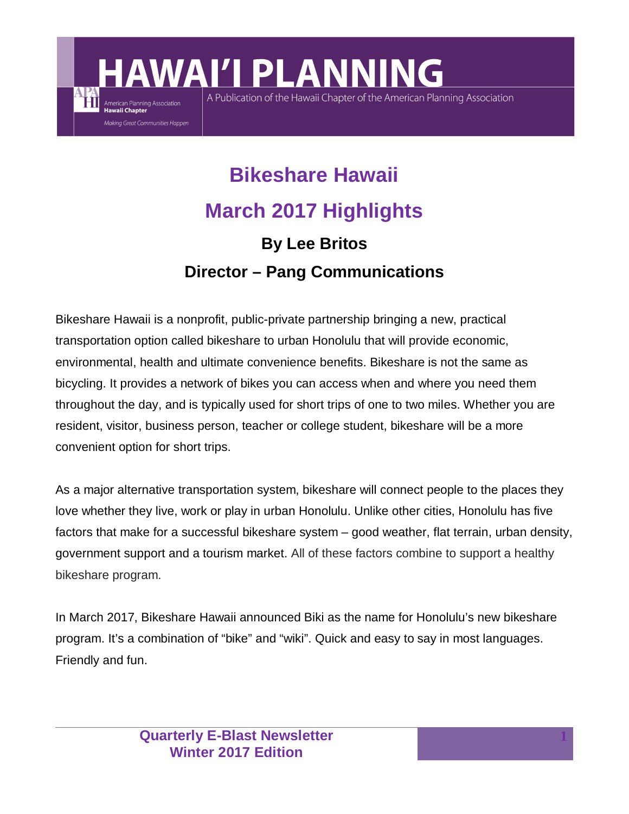## **Bikeshare Hawaii March 2017 Highlights By Lee Britos Director – Pang Communications**

A Publication of the Hawaii Chapter of the American Planning Association

**AWAI'I PLANNING** 

American Planning Association Hawaii Chapter

Making Great Communities Happen

Bikeshare Hawaii is a nonprofit, public-private partnership bringing a new, practical transportation option called bikeshare to urban Honolulu that will provide economic, environmental, health and ultimate convenience benefits. Bikeshare is not the same as bicycling. It provides a network of bikes you can access when and where you need them throughout the day, and is typically used for short trips of one to two miles. Whether you are resident, visitor, business person, teacher or college student, bikeshare will be a more convenient option for short trips.

As a major alternative transportation system, bikeshare will connect people to the places they love whether they live, work or play in urban Honolulu. Unlike other cities, Honolulu has five factors that make for a successful bikeshare system – good weather, flat terrain, urban density, government support and a tourism market. All of these factors combine to support a healthy bikeshare program.

In March 2017, Bikeshare Hawaii announced Biki as the name for Honolulu's new bikeshare program. It's a combination of "bike" and "wiki". Quick and easy to say in most languages. Friendly and fun.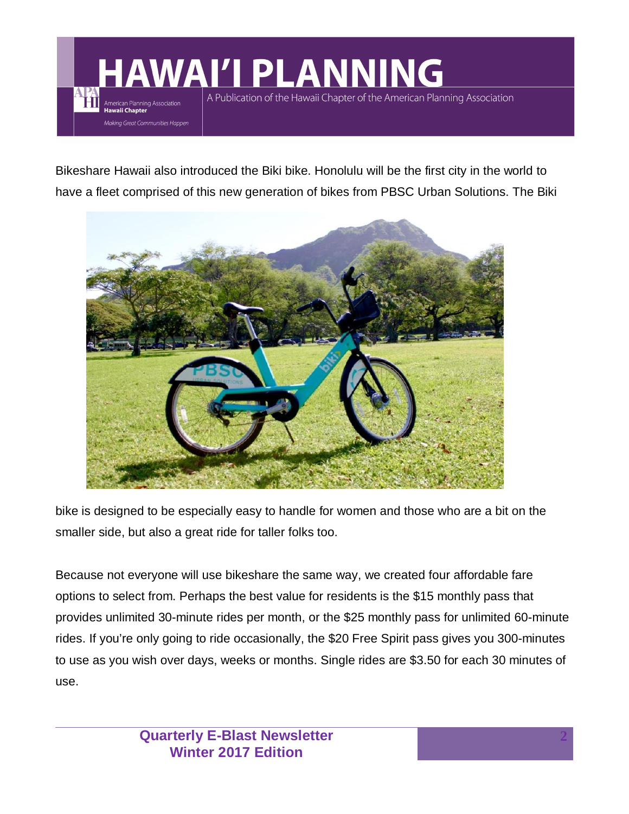**AWAI'I PLANNING** A Publication of the Hawaii Chapter of the American Planning Association American Planning Association<br>Hawaii Chapter Making Great Communities Happen

Bikeshare Hawaii also introduced the Biki bike. Honolulu will be the first city in the world to have a fleet comprised of this new generation of bikes from PBSC Urban Solutions. The Biki



bike is designed to be especially easy to handle for women and those who are a bit on the smaller side, but also a great ride for taller folks too.

Because not everyone will use bikeshare the same way, we created four affordable fare options to select from. Perhaps the best value for residents is the \$15 monthly pass that provides unlimited 30-minute rides per month, or the \$25 monthly pass for unlimited 60-minute rides. If you're only going to ride occasionally, the \$20 Free Spirit pass gives you 300-minutes to use as you wish over days, weeks or months. Single rides are \$3.50 for each 30 minutes of use.